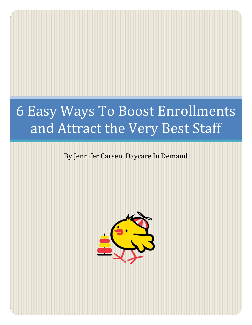# 6 Easy Ways To Boost Enrollments and Attract the Very Best Staff

# By Jennifer Carsen, Daycare In Demand

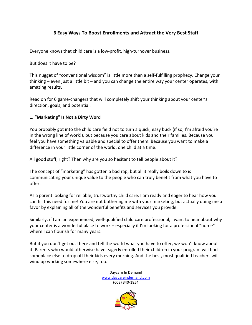# **6 Easy Ways To Boost Enrollments and Attract the Very Best Staff**

Everyone knows that child care is a low-profit, high-turnover business.

But does it have to be?

This nugget of "conventional wisdom" is little more than a self-fulfilling prophecy. Change your thinking – even just a little bit – and you can change the entire way your center operates, with amazing results.

Read on for 6 game-changers that will completely shift your thinking about your center's direction, goals, and potential.

#### **1. "Marketing" Is Not a Dirty Word**

You probably got into the child care field not to turn a quick, easy buck (if so, I'm afraid you're in the wrong line of work!), but because you care about kids and their families. Because you feel you have something valuable and special to offer them. Because you want to make a difference in your little corner of the world, one child at a time.

All good stuff, right? Then why are you so hesitant to tell people about it?

The concept of "marketing" has gotten a bad rap, but all it really boils down to is communicating your unique value to the people who can truly benefit from what you have to offer.

As a parent looking for reliable, trustworthy child care, I am ready and eager to hear how you can fill this need for me! You are not bothering me with your marketing, but actually doing me a favor by explaining all of the wonderful benefits and services you provide.

Similarly, if I am an experienced, well-qualified child care professional, I want to hear about why your center is a wonderful place to work – especially if I'm looking for a professional "home" where I can flourish for many years.

But if you don't get out there and tell the world what you have to offer, we won't know about it. Parents who would otherwise have eagerly enrolled their children in your program will find someplace else to drop off their kids every morning. And the best, most qualified teachers will wind up working somewhere else, too.

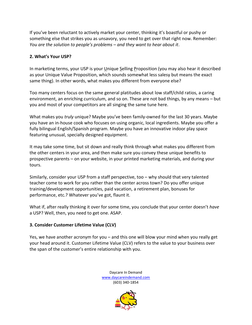If you've been reluctant to actively market your center, thinking it's boastful or pushy or something else that strikes you as unsavory, you need to get over that right now. Remember: *You are the solution to people's problems – and they want to hear about it*.

### **2. What's Your USP?**

In marketing terms, your USP is your Unique Selling Proposition (you may also hear it described as your Unique Value Proposition, which sounds somewhat less salesy but means the exact same thing). In other words, what makes you different from everyone else?

Too many centers focus on the same general platitudes about low staff/child ratios, a caring environment, an enriching curriculum, and so on. These are not bad things, by any means – but you and most of your competitors are all singing the same tune here.

What makes you *truly* unique? Maybe you've been family-owned for the last 30 years. Maybe you have an in-house cook who focuses on using organic, local ingredients. Maybe you offer a fully bilingual English/Spanish program. Maybe you have an innovative indoor play space featuring unusual, specially designed equipment.

It may take some time, but sit down and really think through what makes you different from the other centers in your area, and then make sure you convey these unique benefits to prospective parents – on your website, in your printed marketing materials, and during your tours.

Similarly, consider your USP from a staff perspective, too – why should that very talented teacher come to work for you rather than the center across town? Do you offer unique training/development opportunities, paid vacation, a retirement plan, bonuses for performance, etc.? Whatever you've got, flaunt it.

What if, after really thinking it over for some time, you conclude that your center doesn't *have* a USP? Well, then, you need to get one. ASAP.

# **3. Consider Customer Lifetime Value (CLV)**

Yes, we have another acronym for you – and this one will blow your mind when you really get your head around it. Customer Lifetime Value (CLV) refers to the value to your business over the span of the customer's entire relationship with you.

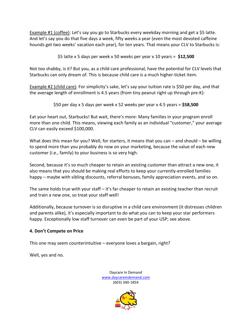Example #1 (coffee): Let's say you go to Starbucks every weekday morning and get a \$5 latte. And let's say you do that five days a week, fifty weeks a year (even the most devoted caffeine hounds get two weeks' vacation each year), for ten years. That means your CLV to Starbucks is:

\$5 latte x 5 days per week x 50 weeks per year x 10 years = **\$12,500**

Not too shabby, is it? But you, as a child care professional, have the potential for CLV levels that Starbucks can only dream of. This is because child care is a much higher-ticket item.

Example #2 (child care): For simplicity's sake, let's say your tuition rate is \$50 per day, and that the average length of enrollment is 4.5 years (from tiny peanut right up through pre-K):

\$50 per day x 5 days per week x 52 weeks per year x 4.5 years = **\$58,500**

Eat your heart out, Starbucks! But wait, there's more: Many families in your program enroll more than one child. This means, viewing each family as an individual "customer," your average CLV can easily exceed \$100,000.

What does this mean for you? Well, for starters, it means that you can – and should – be willing to spend more than you probably do now on your marketing, because the value of each new customer (i.e., family) to your business is so very high.

Second, because it's so much cheaper to retain an existing customer than attract a new one, it also means that you should be making real efforts to keep your currently-enrolled families happy – maybe with sibling discounts, referral bonuses, family appreciation events, and so on.

The same holds true with your staff  $-$  it's far cheaper to retain an existing teacher than recruit and train a new one, so treat your staff well!

Additionally, because turnover is so disruptive in a child care environment (it distresses children and parents alike), it's especially important to do what you can to keep your star performers happy. Exceptionally low staff turnover can even be part of your USP; see above.

#### **4. Don't Compete on Price**

This one may seem counterintuitive – everyone loves a bargain, right?

Well, yes and no.

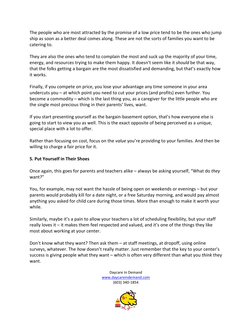The people who are most attracted by the promise of a low price tend to be the ones who jump ship as soon as a better deal comes along. These are not the sorts of families you want to be catering to.

They are also the ones who tend to complain the most and suck up the majority of your time, energy, and resources trying to make them happy. It doesn't seem like it *should* be that way, that the folks getting a bargain are the most dissatisfied and demanding, but that's exactly how it works.

Finally, if you compete on price, you lose your advantage any time someone in your area undercuts you – at which point you need to cut your prices (and profits) even further. You become a commodity – which is the last thing you, as a caregiver for the little people who are the single most precious thing in their parents' lives, want.

If you start presenting yourself as the bargain-basement option, that's how everyone else is going to start to view you as well. This is the exact opposite of being perceived as a unique, special place with a lot to offer.

Rather than focusing on cost, focus on the *value* you're providing to your families. And then be willing to charge a fair price for it.

#### **5. Put Yourself in Their Shoes**

Once again, this goes for parents and teachers alike – always be asking yourself, "What do *they* want?"

You, for example, may not want the hassle of being open on weekends or evenings – but your parents would probably kill for a date night, or a free Saturday morning, and would pay almost anything you asked for child care during those times. More than enough to make it worth your while.

Similarly, maybe it's a pain to allow your teachers a lot of scheduling flexibility, but your staff really loves it – it makes them feel respected and valued, and it's one of the things they like most about working at your center.

Don't know what they want? Then ask them – at staff meetings, at dropoff, using online surveys, whatever. The *how* doesn't really matter. Just remember that the key to your center's success is giving people what they want – which is often very different than what you *think* they want.

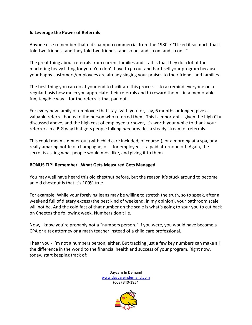#### **6. Leverage the Power of Referrals**

Anyone else remember that old shampoo commercial from the 1980s? "I liked it so much that I told two friends…and they told two friends…and so on, and so on, and so on…"

The great thing about referrals from current families and staff is that they do a lot of the marketing heavy lifting for you. You don't have to go out and hard-sell your program because your happy customers/employees are already singing your praises to their friends and families.

The best thing you can do at your end to facilitate this process is to a) remind everyone on a regular basis how much you appreciate their referrals and b) reward them – in a memorable, fun, tangible way – for the referrals that pan out.

For every new family or employee that stays with you for, say, 6 months or longer, give a valuable referral bonus to the person who referred them. This is important – given the high CLV discussed above, and the high cost of employee turnover, it's worth your while to thank your referrers in a BIG way that gets people talking *and* provides a steady stream of referrals.

This could mean a dinner out (with child care included, of course!), or a morning at a spa, or a really amazing bottle of champagne, or – for employees – a paid afternoon off. Again, the secret is asking what people would most like, and giving it to them.

#### **BONUS TIP! Remember…What Gets Measured Gets Managed**

You may well have heard this old chestnut before, but the reason it's stuck around to become an old chestnut is that it's 100% true.

For example: While your forgiving jeans may be willing to stretch the truth, so to speak, after a weekend full of dietary excess (the best kind of weekend, in my opinion), your bathroom scale will not be. And the cold fact of that number on the scale is what's going to spur you to cut back on Cheetos the following week. Numbers don't lie.

Now, I know you're probably not a "numbers person." If you were, you would have become a CPA or a tax attorney or a math teacher instead of a child care professional.

I hear you - I'm not a numbers person, either. But tracking just a few key numbers can make all the difference in the world to the financial health and success of your program. Right now, today, start keeping track of:

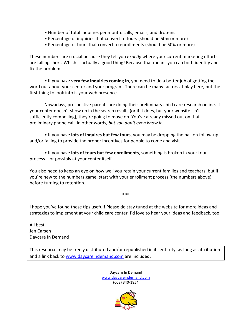- Number of total inquiries per month: calls, emails, and drop-ins
- Percentage of inquiries that convert to tours (should be 50% or more)
- Percentage of tours that convert to enrollments (should be 50% or more)

These numbers are crucial because they tell you *exactly* where your current marketing efforts are falling short. Which is actually a good thing! Because that means you can both identify and fix the problem.

• If you have **very few inquiries coming in**, you need to do a better job of getting the word out about your center and your program. There can be many factors at play here, but the first thing to look into is your web presence.

Nowadays, prospective parents are doing their preliminary child care research online. If your center doesn't show up in the search results (or if it does, but your website isn't sufficiently compelling), they're going to move on. You've already missed out on that preliminary phone call, in other words, *but you don't even know it*.

• If you have **lots of inquires but few tours**, you may be dropping the ball on follow-up and/or failing to provide the proper incentives for people to come and visit.

• If you have **lots of tours but few enrollments**, something is broken in your tour process – or possibly at your center itself.

You also need to keep an eye on how well you retain your current families and teachers, but if you're new to the numbers game, start with your enrollment process (the numbers above) before turning to retention.

I hope you've found these tips useful! Please do stay tuned at the website for more ideas and strategies to implement at your child care center. I'd love to hear your ideas and feedback, too.

\*\*\*

All best, Jen Carsen Daycare In Demand

This resource may be freely distributed and/or republished in its entirety, as long as attribution and a link back to [www.daycareindemand.com](http://www.daycareindemand.com/) are included.